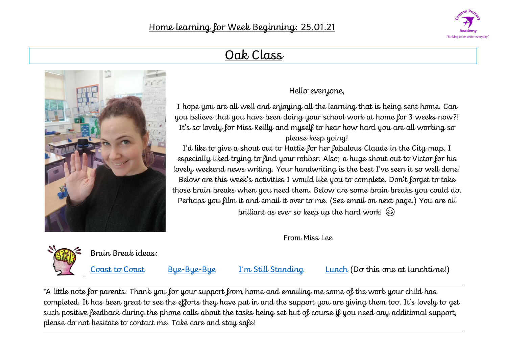

# Oak Class



### Hello everyone,

I hope you are all well and enjoying all the learning that is being sent home. Can you believe that you have been doing your school work at home for 3 weeks now?! It's so lovely for Miss Reilly and myself to hear how hard you are all working so please keep going!

I'd like to give a shout out to Hattie for her fabulous Claude in the City map. I especially liked trying to find your robber. Also, a huge shout out to Victor for his lovely weekend news writing. Your handwriting is the best I've seen it so well done! Below are this week's activities I would like you to complete. Don't forget to take those brain breaks when you need them. Below are some brain breaks you could do. Perhaps you film it and email it over to me. (See email on next page.) You are all

brilliant as ever so keep up the hard work!

From Miss Lee



Brain Break ideas:

[Coast to Coast](https://family.gonoodle.com/activities/coast-to-coast) [Bye-Bye-Bye](https://family.gonoodle.com/activities/bye-bye-bye) [I'm Still Standing](https://family.gonoodle.com/activities/im-still-standing) [Lunch](https://family.gonoodle.com/activities/lunch) (Do this one at lunchtime!)

\*A little note for parents: Thank you for your support from home and emailing me some of the work your child has completed. It has been great to see the efforts they have put in and the support you are giving them too. It's lovely to get such positive feedback during the phone calls about the tasks being set but of course if you need any additional support, please do not hesitate to contact me. Take care and stay safe!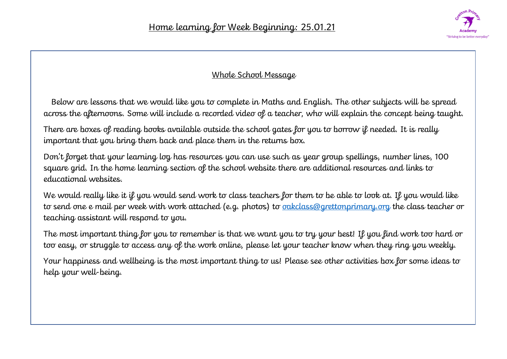

#### Whole School Message

Below are lessons that we would like you to complete in Maths and English. The other subjects will be spread across the afternoons. Some will include a recorded video of a teacher, who will explain the concept being taught.

There are boxes of reading books available outside the school gates for you to borrow if needed. It is really important that you bring them back and place them in the returns box.

Don't forget that your learning log has resources you can use such as year group spellings, number lines, 100 square grid. In the home learning section of the school website there are additional resources and links to educational websites.

We would really like it if you would send work to class teachers for them to be able to look at. If you would like to send one e mail per week with work attached (e.g. photos) to **oakclass@grettonprimary.org** the class teacher or teaching assistant will respond to you.

The most important thing for you to remember is that we want you to try your best! If you find work too hard or too easy, or struggle to access any of the work online, please let your teacher know when they ring you weekly.

Your happiness and wellbeing is the most important thing to us! Please see other activities box for some ideas to help your well-being.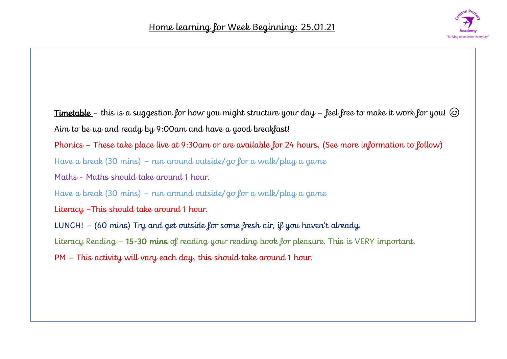

Timetable - this is a suggestion for how you might structure your day - feel free to make it work for you!  $\odot$ Aim to be up and ready by 9:00am and have a good breakfast! Phonics – These take place live at 9:30am or are available for 24 hours. (See more information to follow) Have a break (30 mins) – run around outside/go for a walk/play a game Maths - Maths should take around 1 hour. Have a break (30 mins) – run around outside/go for a walk/play a game Literacy –This should take around 1 hour. LUNCH!  $-$  (60 mins) Try and get outside for some fresh air, if you haven't already. Literacy Reading - 15-30 mins of reading your reading book for pleasure. This is VERY important. PM – This activity will vary each day, this should take around 1 hour.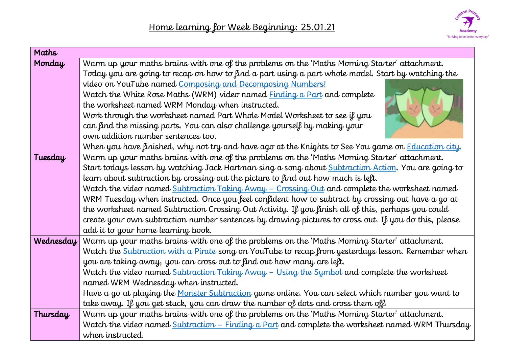

| Maths     |                                                                                                             |
|-----------|-------------------------------------------------------------------------------------------------------------|
| Monday    | Warm up your maths brains with one of the problems on the 'Maths Morning Starter' attachment.               |
|           | Today you are going to recap on how to find a part using a part whole model. Start by watching the          |
|           | video on YouTube named Composing and Decomposing Numbers!                                                   |
|           | Watch the White Rose Maths (WRM) video named <b>Finding a Part</b> and complete                             |
|           | the worksheet named WRM Monday when instructed.                                                             |
|           | Work through the worksheet named Part Whole Model Worksheet to see if you                                   |
|           | can find the missing parts. You can also challenge yourself by making your                                  |
|           | own addition number sentences too.                                                                          |
|           | When you have finished, why not try and have ago at the Knights to See You game on <b>Education city</b> .  |
| Tuesday   | Warm up your maths brains with one of the problems on the 'Maths Morning Starter' attachment.               |
|           | Start todays lesson by watching Jack Hartman sing a song about <b>Subtraction Action</b> . You are going to |
|           | learn about subtraction by crossing out the picture to find out how much is left.                           |
|           | Watch the video named Subtraction Taking Away - Crossing Out and complete the worksheet named               |
|           | WRM Tuesday when instructed. Once you feel confident how to subtract by crossing out have a go at           |
|           | the worksheet named Subtraction Crossing Out Activity. If you finish all of this, perhaps you could         |
|           | create your own subtraction number sentences by drawing pictures to cross out. If you do this, please       |
|           | add it to your home learning book.                                                                          |
| Wednesday | Warm up your maths brains with one of the problems on the 'Maths Morning Starter' attachment.               |
|           | Watch the Subtraction with a Pirate song on YouTube to recap from yesterdays lesson. Remember when          |
|           | you are taking away, you can cross out to find out how many are left.                                       |
|           | Watch the video named Subtraction Taking Away - Using the Symbol and complete the worksheet                 |
|           | named WRM Wednesday when instructed.                                                                        |
|           | Have a go at playing the Monster Subtraction game online. You can select which number you want to           |
|           | take away. If you get stuck, you can draw the number of dots and cross them off.                            |
| Thursday  | Warm up your maths brains with one of the problems on the 'Maths Morning Starter' attachment.               |
|           | Watch the video named <b>Subtraction - Finding a Part</b> and complete the worksheet named WRM Thursday     |
|           | when instructed.                                                                                            |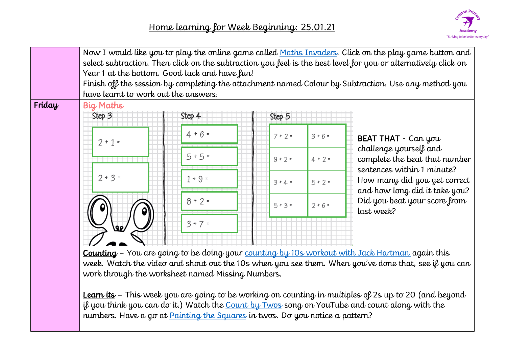

|        | Now I would like you to play the online game called Maths Invaders. Click on the play game button and<br>select subtraction. Then click on the subtraction you feel is the best level for you or alternatively click on<br>Year 1 at the bottom. Good luck and have fun!<br>Finish off the session by completing the attachment named Colour by Subtraction. Use any method you<br>have learnt to work out the answers. |           |           |           |                                                                                       |
|--------|-------------------------------------------------------------------------------------------------------------------------------------------------------------------------------------------------------------------------------------------------------------------------------------------------------------------------------------------------------------------------------------------------------------------------|-----------|-----------|-----------|---------------------------------------------------------------------------------------|
| Friday | <b>Big Maths</b><br>Step 3                                                                                                                                                                                                                                                                                                                                                                                              | Step 4    | Step 5    |           |                                                                                       |
|        | $2 + 1 =$                                                                                                                                                                                                                                                                                                                                                                                                               | $4 + 6 =$ | $7 + 2 =$ | $3 + 6 =$ | <b>BEAT THAT</b> - Can you                                                            |
|        |                                                                                                                                                                                                                                                                                                                                                                                                                         | $5 + 5 =$ | $9 + 2 =$ | $4 + 2 =$ | challenge yourself and<br>complete the beat that number<br>sentences within 1 minute? |
|        | $2 + 3 =$                                                                                                                                                                                                                                                                                                                                                                                                               | $1 + 9 =$ | $3 + 4 =$ | $5 + 2 =$ | How many did you get correct<br>and how long did it take you?                         |
|        |                                                                                                                                                                                                                                                                                                                                                                                                                         | $8 + 2 =$ | $5 + 3 =$ | $2 + 6 =$ | Did you beat your score from<br>last week?                                            |
|        | روی                                                                                                                                                                                                                                                                                                                                                                                                                     | $3 + 7 =$ |           |           |                                                                                       |
|        |                                                                                                                                                                                                                                                                                                                                                                                                                         |           |           |           |                                                                                       |

Counting – You are going to be doing your [counting by 10s workout with Jack Hartman](https://www.youtube.com/watch?v=W8CEOlAOGas) again this week. Watch the video and shout out the 10s when you see them. When you've done that, see if you can work through the worksheet named Missing Numbers.

Learn its – This week you are going to be working on counting in multiples of 2s up to 20 (and beyond if you think you can do it.) Watch the [Count by Twos](https://www.youtube.com/watch?v=HtxNe5yAF_E) song on YouTube and count along with the numbers. Have a go at **Painting the Squares** in twos. Do you notice a pattern?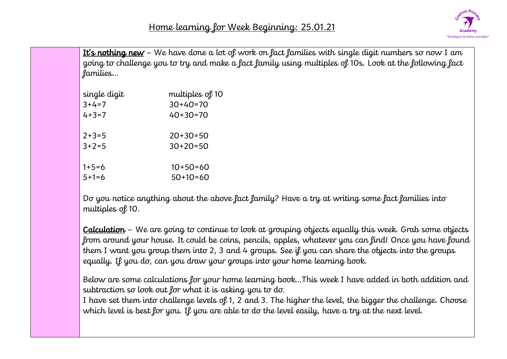

It's nothing new - We have done a lot of work on fact families with single digit numbers so now I am going to challenge you to try and make a fact family using multiples of 10s. Look at the following fact families…

| single digit | multiples of 10 |
|--------------|-----------------|
| $3+4=7$      | $30+40=70$      |
| $4 + 3 = 7$  | $40+30=70$      |
| $2+3=5$      | 20+30=50        |
| $3+2=5$      | $30+20=50$      |
| $1+5=6$      | $10+50=60$      |
| $5+1=6$      | $50+10=60$      |

Do you notice anything about the above fact family? Have a try at writing some fact families into multiples of 10.

Calculation – We are going to continue to look at grouping objects equally this week. Grab some objects from around your house. It could be coins, pencils, apples, whatever you can find! Once you have found them I want you group them into 2, 3 and 4 groups. See if you can share the objects into the groups equally. If you do, can you draw your groups into your home learning book.

Below are some calculations for your home learning book…This week I have added in both addition and subtraction so look out for what it is asking you to do.

I have set them into challenge levels of 1, 2 and 3. The higher the level, the bigger the challenge. Choose which level is best for you. If you are able to do the level easily, have a try at the next level.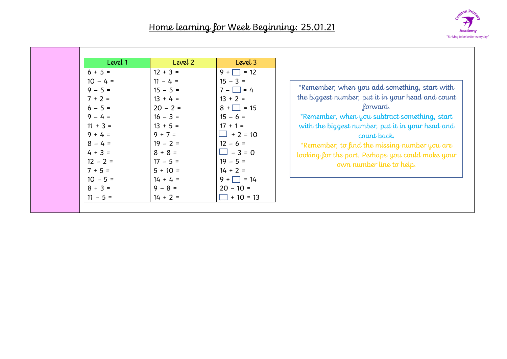

| Level 1                                                                                                                                                                                              | Level 2                                                                                                                                                                                                     | Level 3                                                                                                                                                                                                                                              |                                                                                                                                                                                                                                                                                                                                                                      |
|------------------------------------------------------------------------------------------------------------------------------------------------------------------------------------------------------|-------------------------------------------------------------------------------------------------------------------------------------------------------------------------------------------------------------|------------------------------------------------------------------------------------------------------------------------------------------------------------------------------------------------------------------------------------------------------|----------------------------------------------------------------------------------------------------------------------------------------------------------------------------------------------------------------------------------------------------------------------------------------------------------------------------------------------------------------------|
| $6 + 5 =$<br>$10 - 4 =$<br>$9 - 5 =$<br>$7 + 2 =$<br>$6 - 5 =$<br>$9 - 4 =$<br>$11 + 3 =$<br>$9 + 4 =$<br>$8 - 4 =$<br>$4 + 3 =$<br>$12 - 2 =$<br>$7 + 5 =$<br>$10 - 5 =$<br>$8 + 3 =$<br>$11 - 5 =$ | $12 + 3 =$<br>$11 - 4 =$<br>$15 - 5 =$<br>$13 + 4 =$<br>$20 - 2 =$<br>$16 - 3 =$<br>$13 + 5 =$<br>$9 + 7 =$<br>$19 - 2 =$<br>$8 + 8 =$<br>$17 - 5 =$<br>$5 + 10 =$<br>$14 + 4 =$<br>$9 - 8 =$<br>$14 + 2 =$ | $9 + \Box = 12$<br>$15 - 3 =$<br>$7 - \Box = 4$<br>$13 + 2 =$<br>$8 + \square = 15$<br>$15 - 6 =$<br>$17 + 1 =$<br>$\Box$ + 2 = 10<br>$12 - 6 =$<br>$\Box$ – 3 = 0<br>$19 - 5 =$<br>$14 + 2 =$<br>$9 + \Box = 14$<br>$20 - 10 =$<br>$\Box$ + 10 = 13 | *Remember, when you add something, start with<br>the biggest number, put it in your head and count<br>forward.<br>*Remember, when you subtract something, start<br>with the biggest number, put it in your head and<br>count back.<br>*Remember, to find the missing number you are<br>looking for the part. Perhaps you could make your<br>own number line to help. |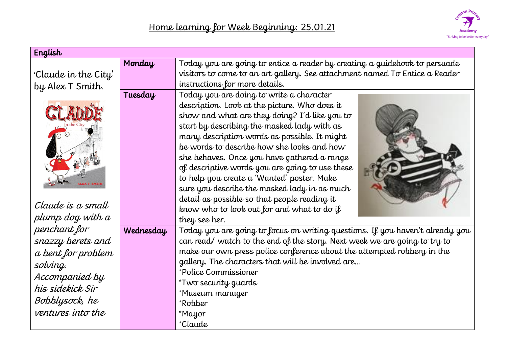

| English                                                                                                                                          |           |                                                                                                                                                                                                                                                                                                                                                                                                                                                                                                                                         |
|--------------------------------------------------------------------------------------------------------------------------------------------------|-----------|-----------------------------------------------------------------------------------------------------------------------------------------------------------------------------------------------------------------------------------------------------------------------------------------------------------------------------------------------------------------------------------------------------------------------------------------------------------------------------------------------------------------------------------------|
| 'Claude in the City'                                                                                                                             | Monday    | Today you are going to entice a reader by creating a guidebook to persuade<br>visitors to come to an art gallery. See attachment named To Entice a Reader                                                                                                                                                                                                                                                                                                                                                                               |
| by Alex T Smith.                                                                                                                                 |           | instructions for more details.                                                                                                                                                                                                                                                                                                                                                                                                                                                                                                          |
|                                                                                                                                                  | Tuesday   | Today you are doing to write a character<br>description. Look at the picture. Who does it<br>show and what are they doing? I'd like you to<br>start by describing the masked lady with as<br>many description words as possible. It might<br>be words to describe how she looks and how<br>she behaves. Once you have gathered a range<br>of descriptive words you are going to use these<br>to help you create a 'Wanted' poster. Make<br>sure you describe the masked lady in as much<br>detail as possible so that people reading it |
| Claude is a small                                                                                                                                |           | know who to look out for and what to do if                                                                                                                                                                                                                                                                                                                                                                                                                                                                                              |
| plump dog with a                                                                                                                                 |           | they see her.                                                                                                                                                                                                                                                                                                                                                                                                                                                                                                                           |
| penchant for<br>snazzy berets and<br>a bent for problem<br>solving.<br>Accompanied by<br>his sidekick Sir<br>Bobblysock, he<br>ventures into the | Wednesday | Today you are going to focus on writing questions. If you haven't already you<br>can read/ watch to the end of the story. Next week we are going to try to<br>make our own press police conference about the attempted robbery in the<br>gallery. The characters that will be involved are<br>*Police Commissioner<br>*Two security guards<br>*Museum manager<br>*Robber<br>*Mayor<br>*Claude                                                                                                                                           |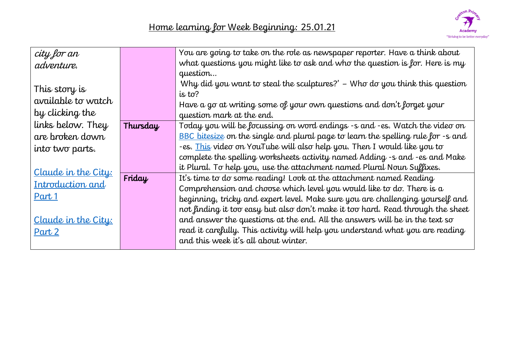

| city for an         |          | You are going to take on the role as newspaper reporter. Have a think about      |
|---------------------|----------|----------------------------------------------------------------------------------|
| adventure.          |          | what questions you might like to ask and who the question is for. Here is my     |
|                     |          | question                                                                         |
| This story is       |          | Why did you want to steal the sculptures?' $-$ Who do you think this question    |
| available to watch  |          | is to?                                                                           |
|                     |          | Have a go at writing some of your own questions and don't forget your            |
| by clicking the     |          | question mark at the end.                                                        |
| links below. They   | Thursday | Today you will be focussing on word endings -s and -es. Watch the video on       |
| are broken down     |          | BBC bitesize on the single and plural page to learn the spelling rule for -s and |
| into two parts.     |          | -es. This video on YouTube will also help you. Then I would like you to          |
|                     |          | complete the spelling worksheets activity named Adding -s and -es and Make       |
| Claude in the City: |          | it Plural. To help you, use the attachment named Plural Noun Suffixes.           |
|                     | Friday   | It's time to do some reading! Look at the attachment named Reading               |
| Introduction and    |          | Comprehension and choose which level you would like to do. There is $a$          |
| Part 1              |          | beginning, tricky and expert level. Make sure you are challenging yourself and   |
|                     |          | not finding it too easy but also don't make it too hard. Read through the sheet  |
| Claude in the City: |          | and answer the questions at the end. All the answers will be in the text so      |
| Part 2              |          | read it carefully. This activity will help you understand what you are reading   |
|                     |          | and this week it's all about winter.                                             |
|                     |          |                                                                                  |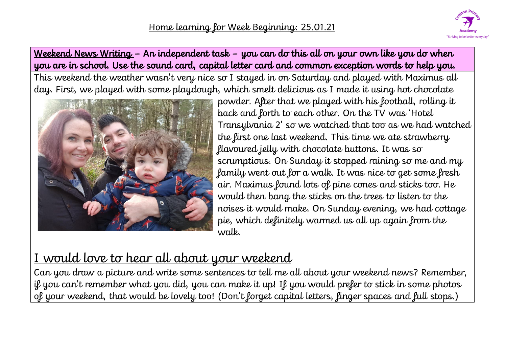

# Weekend News Writing – An independent task – you can do this all on your own like you do when you are in school. Use the sound card, capital letter card and common exception words to help you.

This weekend the weather wasn't very nice so I stayed in on Saturday and played with Maximus all day. First, we played with some playdough, which smelt delicious as I made it using hot chocolate



powder. After that we played with his football, rolling it back and forth to each other. On the TV was 'Hotel Transylvania 2' so we watched that too as we had watched the first one last weekend. This time we ate strawberry flavoured jelly with chocolate buttons. It was so scrumptious. On Sunday it stopped raining so me and my family went out for a walk. It was nice to get some fresh air. Maximus found lots of pine cones and sticks too. He would then bang the sticks on the trees to listen to the noises it would make. On Sunday evening, we had cottage pie, which definitely warmed us all up again from the walk.

# I would love to hear all about your weekend

Can you draw a picture and write some sentences to tell me all about your weekend news? Remember, if you can't remember what you did, you can make it up! If you would prefer to stick in some photos of your weekend, that would be lovely too! (Don't forget capital letters, finger spaces and full stops.)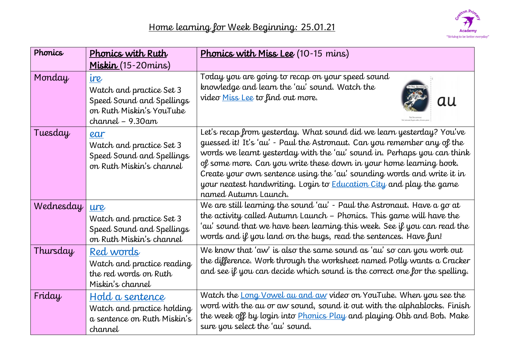

| Phonics   | Phonics with Ruth                                                                                               | <b>Phonics with Miss Lee</b> (10-15 mins)                                                                                                                                                                                                                                                                                                                                                                                                                                         |
|-----------|-----------------------------------------------------------------------------------------------------------------|-----------------------------------------------------------------------------------------------------------------------------------------------------------------------------------------------------------------------------------------------------------------------------------------------------------------------------------------------------------------------------------------------------------------------------------------------------------------------------------|
|           | Miskin (15-20 mins)                                                                                             |                                                                                                                                                                                                                                                                                                                                                                                                                                                                                   |
| Monday    | ire<br>Watch and practice Set 3<br>Speed Sound and Spellings<br>on Ruth Miskin's YouTube<br>$channel - 9.30$ am | Today you are going to recap on your speed sound<br>knowledge and learn the 'au' sound. Watch the<br>video Miss Lee to find out more.<br>au                                                                                                                                                                                                                                                                                                                                       |
| Tuesday   | ear<br>Watch and practice Set 3<br>Speed Sound and Spellings<br>on Ruth Miskin's channel                        | Let's recap from yesterday. What sound did we learn yesterday? You've<br>guessed it! It's 'au' - Paul the Astronaut. Can you remember any of the<br>words we learnt yesterday with the 'au' sound in. Perhaps you can think<br>of some more. Can you write these down in your home learning book.<br>Create your own sentence using the 'au' sounding words and write it in<br>your neatest handwriting. Login to <b>Education City</b> and play the game<br>named Autumn Launch. |
| Wednesday | ure<br>Watch and practice Set 3<br>Speed Sound and Spellings<br>on Ruth Miskin's channel                        | We are still learning the sound 'au' - Paul the Astronaut. Have a go at<br>the activity called Autumn Launch - Phonics. This game will have the<br>'au' sound that we have been learning this week. See if you can read the<br>words and if you land on the bugs, read the sentences. Have fun!                                                                                                                                                                                   |
| Thursday  | Red words<br>Watch and practice reading<br>the red words on Ruth<br>Miskin's channel                            | We know that 'aw' is also the same sound as 'au' so can you work out<br>the difference. Work through the worksheet named Polly wants a Cracker<br>and see if you can decide which sound is the correct one for the spelling.                                                                                                                                                                                                                                                      |
| Friday    | Hold a sentence<br>Watch and practice holding<br>a sentence on Ruth Miskin's<br>channel                         | Watch the Long Vowel au and aw video on YouTube. When you see the<br>word with the au or aw sound, sound it out with the alphablocks. Finish<br>the week off by login into <b>Phonics Play</b> and playing Obb and Bob. Make<br>sure you select the 'au' sound.                                                                                                                                                                                                                   |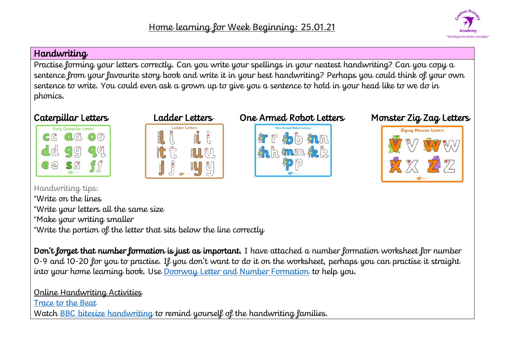

#### Handwriting

Practise forming your letters correctly. Can you write your spellings in your neatest handwriting? Can you copy a sentence from your favourite story book and write it in your best handwriting? Perhaps you could think of your own sentence to write. You could even ask a grown up to give you a sentence to hold in your head like to we do in phonics.







# Caterpillar Letters Ladder Letters One Armed Robot Letters Monster Zig Zag Letters



Handwriting tips: \*Write on the lines \*Write your letters all the same size \*Make your writing smaller \*Write the portion of the letter that sits below the line correctly

Don't forget that number formation is just as important. I have attached a number formation worksheet for number 0-9 and 10-20 for you to practise. If you don't want to do it on the worksheet, perhaps you can practise it straight into your home learning book. Use [Doorway Letter and Number Formation](https://www.doorwayonline.org.uk/activities/letterformation/) to help you.

## Online Handwriting Activities

[Trace to the Beat](https://www.abcya.com/games/letter_trace)

Watch [BBC bitesize handwriting](https://www.bbc.co.uk/bitesize/topics/zgjj6sg) to remind yourself of the handwriting families.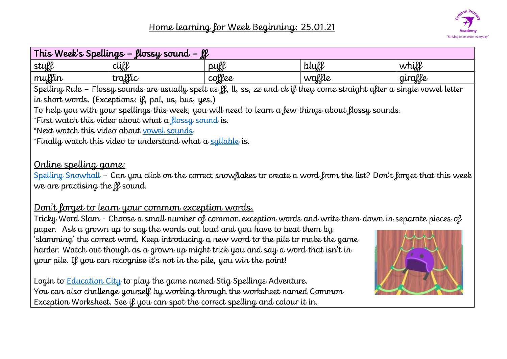

| This Week's Spellings – flossy sound – ff                                             |                                                                                                                            |        |        |         |  |
|---------------------------------------------------------------------------------------|----------------------------------------------------------------------------------------------------------------------------|--------|--------|---------|--|
| stuff                                                                                 | cliff                                                                                                                      | puff   | bluff  | whill   |  |
| muffin                                                                                | traffic                                                                                                                    | coffee | waffle | giralle |  |
|                                                                                       | Spelling Rule - Flossy sounds are usually spelt as ff, ll, ss, zz and ck if they come straight after a single vowel letter |        |        |         |  |
|                                                                                       | in short words. (Exceptions: if, pal, us, bus, yes.)                                                                       |        |        |         |  |
|                                                                                       | To help you with your spellings this week, you will need to learn a few things about flossy sounds.                        |        |        |         |  |
|                                                                                       | *First watch this video about what a flossy sound is.                                                                      |        |        |         |  |
|                                                                                       | *Next watch this video about vowel sounds.                                                                                 |        |        |         |  |
|                                                                                       | *Finally watch this video to understand what a syllable is.                                                                |        |        |         |  |
| <u>Online spelling game:</u><br>we are practising the $\mu$ sound.                    | Spelling Snowball – Can you click on the correct snowflakes to create a word from the list? Don't forget that this week    |        |        |         |  |
|                                                                                       | <u>Don't forget to learn your common exception words.</u>                                                                  |        |        |         |  |
|                                                                                       | Tricky Word Slam - Choose a small number of common exception words and write them down in separate pieces of               |        |        |         |  |
|                                                                                       | paper. Ask a grown up to say the words out loud and you have to beat them by                                               |        |        |         |  |
| 'slamming' the correct word. Keep introducing a new word to the pile to make the game |                                                                                                                            |        |        |         |  |
| harder. Watch out though as a grown up might trick you and say a word that isn't in   |                                                                                                                            |        |        |         |  |
| your pile. If you can recognise it's not in the pile, you win the point!              |                                                                                                                            |        |        |         |  |
| Login to <b>Education City</b> to play the game named Stig Spellings Adventure.       |                                                                                                                            |        |        |         |  |

You can also challenge yourself by working through the worksheet named Common Exception Worksheet. See if you can spot the correct spelling and colour it in.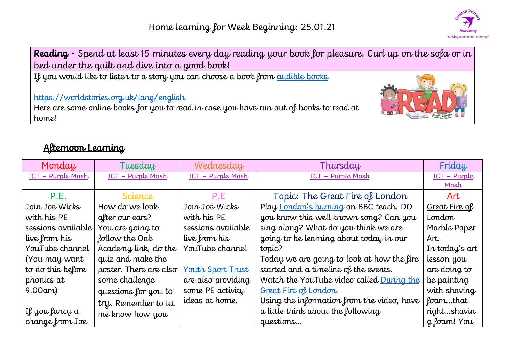

| <b>Reading</b> - Spend at least 15 minutes every day reading your book for pleasure. Curl up on the sofa or in                               |  |
|----------------------------------------------------------------------------------------------------------------------------------------------|--|
| bed under the quilt and dive into a good book!                                                                                               |  |
| If you would like to listen to a story you can choose a book from <u>audible books</u> .                                                     |  |
| https://worldstories.org.uk/lang/english<br>Here are some online books for you to read in case you have run out of books to read at<br>home! |  |

# Afternoon Learning

| Monday             | Tuesday                | Wednesday                | Thursday                                   | Friday         |
|--------------------|------------------------|--------------------------|--------------------------------------------|----------------|
| ICT - Purple Mash  | ICT - Purple Mash      | ICT - Purple Mash        | ICT - Purple Mash                          | ICT - Purple   |
|                    |                        |                          |                                            | <u>Mash</u>    |
| P.E.               | Science                | <u>P.E</u>               | <u> Topic: The Great Fire of London</u>    | Art            |
| Join Joe Wicks     | How do we look         | Join Joe Wicks           | Play London's burning on BBC teach. DO     | Great Fire of  |
| with his PE        | after our ears?        | with his PE              | you know this well known song? Can you     | London         |
| sessions available | You are going to       | sessions available       | sing along? What do you think we are       | Marble Paper   |
| live from his      | follow the Oak         | live from his            | going to be learning about today in our    | Art.           |
| YouTube channel    | Academy link, do the   | YouTube channel          | topic?                                     | In today's art |
| (You may want      | quiz and make the      |                          | Today we are going to look at how the fire | lesson you     |
| to do this before  | poster. There are also | <b>Youth Sport Trust</b> | started and a timeline of the events.      | are doing to   |
| phonics at         | some challenge         | are also providing       | Watch the YouTube video called During the  | be painting    |
| $9.00$ am $)$      | questions for you to   | some PE activity         | Great Fire of London.                      | with shaving   |
|                    | try. Remember to let   | ideas at home.           | Using the information from the video, have | foamthat       |
| If you fancy a     | me know how you        |                          | a little think about the following         | rightshavin    |
| change from Joe    |                        |                          | questions                                  | g foam! You    |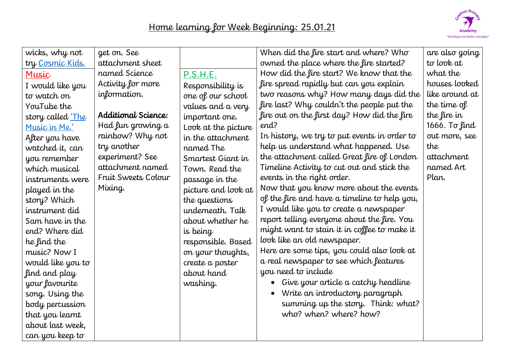| wicks, why not           | get on. See         |                     | When did the fire start and where? Who           | are also going |
|--------------------------|---------------------|---------------------|--------------------------------------------------|----------------|
| try Cosmic Kids.         | attachment sheet    |                     | owned the place where the fire started?          | to look at     |
| Music                    | named Science       | P.S.H.E.            | How did the fire start? We know that the         | what the       |
| I would like you         | Activity for more   | Responsibility is   | fire spread rapidly but can you explain          | houses looked  |
| to watch on              | information.        | one of our school   | two reasons why? How many days did the           | like around at |
| YouTube the              |                     | values and a very   | fire last? Why couldn't the people put the       | the time of    |
| story called <u>'The</u> | Additional Science: | important one.      | fire out on the first day? How did the fire      | the fire in    |
| Music in Me.'            | Had fun growing a   | Look at the picture | end?                                             | 1666. To find  |
| After you have           | rainbow? Why not    | in the attachment   | In history, we try to put events in order to     | out more, see  |
| watched it, can          | try another         | named The           | help us understand what happened. Use            | the            |
| you remember             | experiment? See     | Smartest Giant in   | the attachment called Great fire of London       | attachment     |
| which musical            | attachment named    | Town. Read the      | Timeline Activity to cut out and stick the       | named Art      |
| instruments were         | Fruit Sweets Colour | passage in the      | events in the right order.                       | Plan.          |
| played in the            | Mixing.             | picture and look at | Now that you know more about the events          |                |
| story? Which             |                     | the questions       | of the fire and have a timeline to help you,     |                |
| instrument did           |                     | underneath. Talk    | I would like you to create a newspaper           |                |
| Sam have in the          |                     | about whether he    | report telling everyone about the fire. You      |                |
| end? Where did           |                     | is being            | might want to stain it in coffee to make it      |                |
| he find the              |                     | responsible. Based  | look like an old newspaper.                      |                |
| music? Now I             |                     | on your thoughts,   | Here are some tips, you could also look at       |                |
| would like you to        |                     | create a poster     | a real newspaper to see which features           |                |
| find and play            |                     | about hand          | you need to include                              |                |
| your favourite           |                     | washing.            | Give your article a catchy headline<br>$\bullet$ |                |
| song. Using the          |                     |                     | Write an introductory paragraph<br>$\bullet$     |                |
| body percussion          |                     |                     | summing up the story. Think: what?               |                |
| that you learnt          |                     |                     | who? when? where? how?                           |                |
| about last week,         |                     |                     |                                                  |                |
| can you keep to          |                     |                     |                                                  |                |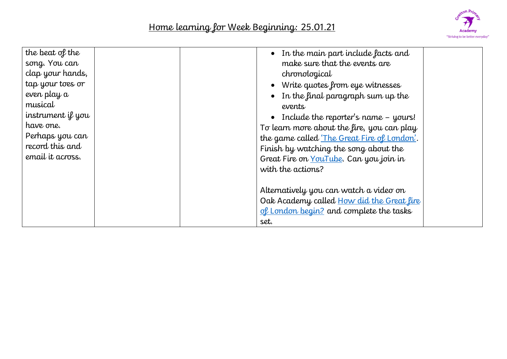

| the beat of the<br>song. You can<br>clap your hands,<br>tap your toes or<br>even play a<br>musical<br>instrument if you<br>have one.<br>Perhaps you can<br>record this and<br>email it across. | $\bullet$ In the main part include facts and<br>make sure that the events are<br>chronological<br>• Write quotes from eye witnesses<br>$\bullet$ In the final paragraph sum up the<br>events<br>Include the reporter's name - yours!<br>To learn more about the fire, you can play<br>the game called 'The Great Fire of London'.<br>Finish by watching the song about the<br>Great Fire on YouTube. Can you join in<br>with the actions? |
|------------------------------------------------------------------------------------------------------------------------------------------------------------------------------------------------|-------------------------------------------------------------------------------------------------------------------------------------------------------------------------------------------------------------------------------------------------------------------------------------------------------------------------------------------------------------------------------------------------------------------------------------------|
|                                                                                                                                                                                                | Alternatively you can watch a video on<br>Oak Academy called How did the Great fire<br>of London begin? and complete the tasks<br>set.                                                                                                                                                                                                                                                                                                    |